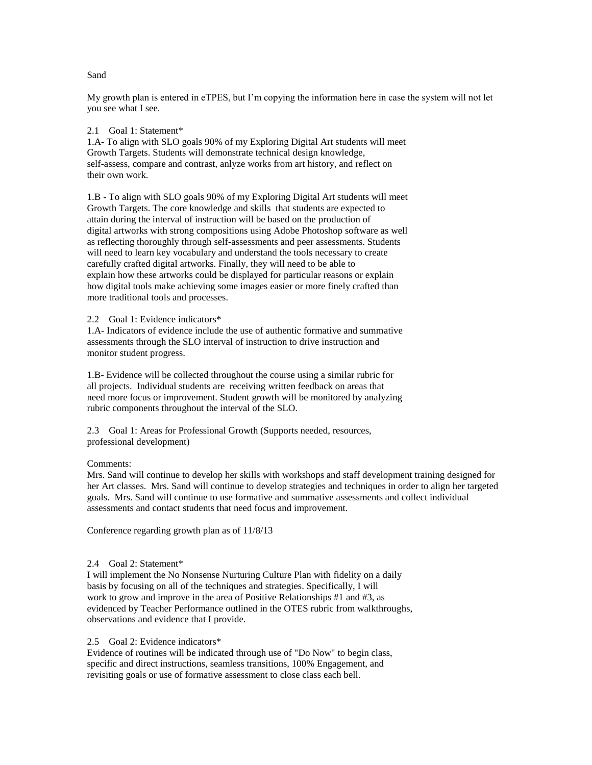My growth plan is entered in eTPES, but I'm copying the information here in case the system will not let you see what I see.

2.1 Goal 1: Statement\*

1.A- To align with SLO goals 90% of my Exploring Digital Art students will meet Growth Targets. Students will demonstrate technical design knowledge, self-assess, compare and contrast, anlyze works from art history, and reflect on their own work.

1.B - To align with SLO goals 90% of my Exploring Digital Art students will meet Growth Targets. The core knowledge and skills that students are expected to attain during the interval of instruction will be based on the production of digital artworks with strong compositions using Adobe Photoshop software as well as reflecting thoroughly through self-assessments and peer assessments. Students will need to learn key vocabulary and understand the tools necessary to create carefully crafted digital artworks. Finally, they will need to be able to explain how these artworks could be displayed for particular reasons or explain how digital tools make achieving some images easier or more finely crafted than more traditional tools and processes.

2.2 Goal 1: Evidence indicators\*

1.A- Indicators of evidence include the use of authentic formative and summative assessments through the SLO interval of instruction to drive instruction and monitor student progress.

1.B- Evidence will be collected throughout the course using a similar rubric for all projects. Individual students are receiving written feedback on areas that need more focus or improvement. Student growth will be monitored by analyzing rubric components throughout the interval of the SLO.

2.3 Goal 1: Areas for Professional Growth (Supports needed, resources, professional development)

## Comments:

Mrs. Sand will continue to develop her skills with workshops and staff development training designed for her Art classes. Mrs. Sand will continue to develop strategies and techniques in order to align her targeted goals. Mrs. Sand will continue to use formative and summative assessments and collect individual assessments and contact students that need focus and improvement.

Conference regarding growth plan as of 11/8/13

## 2.4 Goal 2: Statement\*

I will implement the No Nonsense Nurturing Culture Plan with fidelity on a daily basis by focusing on all of the techniques and strategies. Specifically, I will work to grow and improve in the area of Positive Relationships #1 and #3, as evidenced by Teacher Performance outlined in the OTES rubric from walkthroughs, observations and evidence that I provide.

## 2.5 Goal 2: Evidence indicators\*

Evidence of routines will be indicated through use of "Do Now" to begin class, specific and direct instructions, seamless transitions, 100% Engagement, and revisiting goals or use of formative assessment to close class each bell.

## Sand